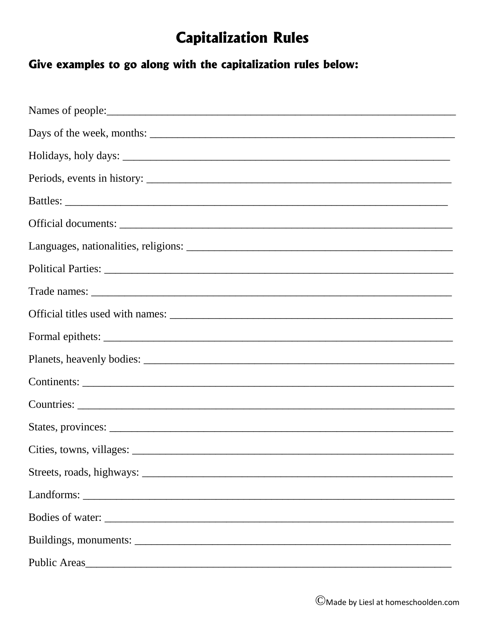### **Capitalization Rules**

#### Give examples to go along with the capitalization rules below: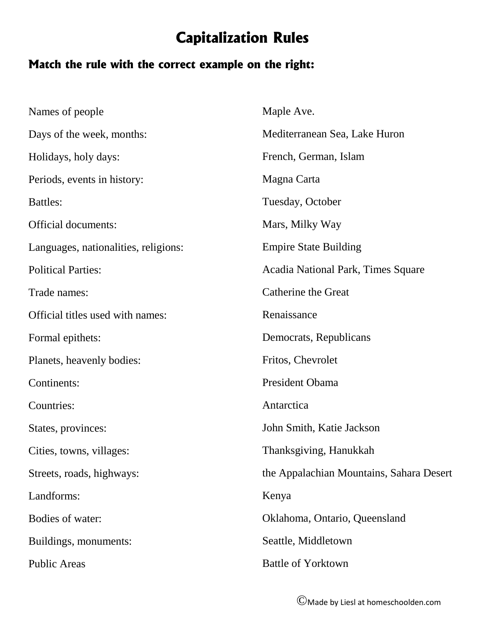### **Capitalization Rules**

#### **Match the rule with the correct example on the right:**

| Names of people                      | Maple Ave.                               |  |
|--------------------------------------|------------------------------------------|--|
| Days of the week, months:            | Mediterranean Sea, Lake Huron            |  |
| Holidays, holy days:                 | French, German, Islam                    |  |
| Periods, events in history:          | Magna Carta                              |  |
| <b>Battles:</b>                      | Tuesday, October                         |  |
| <b>Official documents:</b>           | Mars, Milky Way                          |  |
| Languages, nationalities, religions: | <b>Empire State Building</b>             |  |
| <b>Political Parties:</b>            | Acadia National Park, Times Square       |  |
| Trade names:                         | <b>Catherine the Great</b>               |  |
| Official titles used with names:     | Renaissance                              |  |
| Formal epithets:                     | Democrats, Republicans                   |  |
| Planets, heavenly bodies:            | Fritos, Chevrolet                        |  |
| Continents:                          | President Obama                          |  |
| Countries:                           | Antarctica                               |  |
| States, provinces:                   | John Smith, Katie Jackson                |  |
| Cities, towns, villages:             | Thanksgiving, Hanukkah                   |  |
| Streets, roads, highways:            | the Appalachian Mountains, Sahara Desert |  |
| Landforms:                           | Kenya                                    |  |
| Bodies of water:                     | Oklahoma, Ontario, Queensland            |  |
| Buildings, monuments:                | Seattle, Middletown                      |  |
| <b>Public Areas</b>                  | <b>Battle of Yorktown</b>                |  |
|                                      |                                          |  |

©Made by Liesl at homeschoolden.com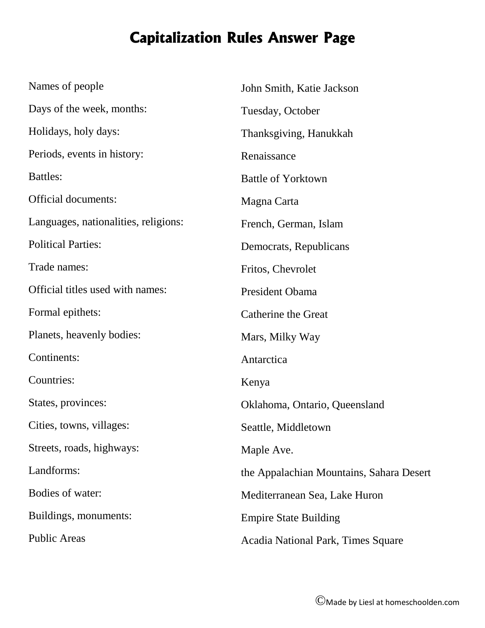## **Capitalization Rules Answer Page**

| Names of people                      | John Smith, Katie Jackson                |
|--------------------------------------|------------------------------------------|
| Days of the week, months:            | Tuesday, October                         |
| Holidays, holy days:                 | Thanksgiving, Hanukkah                   |
| Periods, events in history:          | Renaissance                              |
| <b>Battles:</b>                      | <b>Battle of Yorktown</b>                |
| <b>Official documents:</b>           | Magna Carta                              |
| Languages, nationalities, religions: | French, German, Islam                    |
| <b>Political Parties:</b>            | Democrats, Republicans                   |
| Trade names:                         | Fritos, Chevrolet                        |
| Official titles used with names:     | President Obama                          |
| Formal epithets:                     | <b>Catherine the Great</b>               |
| Planets, heavenly bodies:            | Mars, Milky Way                          |
| Continents:                          | Antarctica                               |
| Countries:                           | Kenya                                    |
| States, provinces:                   | Oklahoma, Ontario, Queensland            |
| Cities, towns, villages:             | Seattle, Middletown                      |
| Streets, roads, highways:            | Maple Ave.                               |
| Landforms:                           | the Appalachian Mountains, Sahara Desert |
| Bodies of water:                     | Mediterranean Sea, Lake Huron            |
| Buildings, monuments:                | <b>Empire State Building</b>             |
| <b>Public Areas</b>                  | Acadia National Park, Times Square       |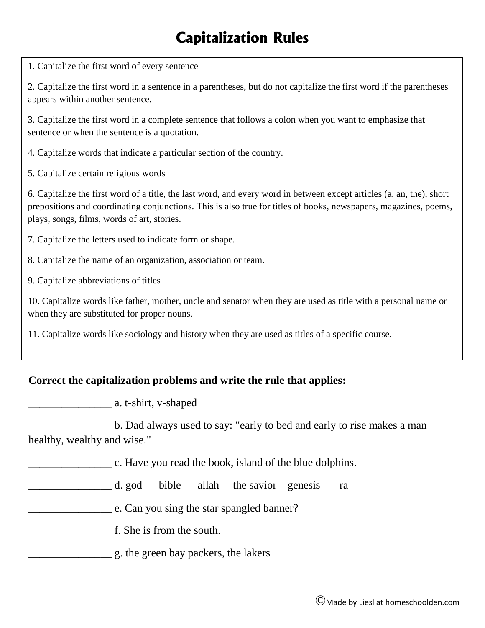## **Capitalization Rules**

1. Capitalize the first word of every sentence

2. Capitalize the first word in a sentence in a parentheses, but do not capitalize the first word if the parentheses appears within another sentence.

3. Capitalize the first word in a complete sentence that follows a colon when you want to emphasize that sentence or when the sentence is a quotation.

4. Capitalize words that indicate a particular section of the country.

5. Capitalize certain religious words

6. Capitalize the first word of a title, the last word, and every word in between except articles (a, an, the), short prepositions and coordinating conjunctions. This is also true for titles of books, newspapers, magazines, poems, plays, songs, films, words of art, stories.

7. Capitalize the letters used to indicate form or shape.

8. Capitalize the name of an organization, association or team.

9. Capitalize abbreviations of titles

10. Capitalize words like father, mother, uncle and senator when they are used as title with a personal name or when they are substituted for proper nouns.

11. Capitalize words like sociology and history when they are used as titles of a specific course.

#### **Correct the capitalization problems and write the rule that applies:**

\_\_\_\_\_\_\_\_\_\_\_\_\_\_\_ a. t-shirt, v-shaped

\_\_\_\_\_\_\_\_\_\_\_\_\_\_\_ b. Dad always used to say: "early to bed and early to rise makes a man healthy, wealthy and wise."

**Example 2.** C. Have you read the book, island of the blue dolphins.

\_\_\_\_\_\_\_\_\_\_\_\_\_\_\_ d. god bible allah the savior genesis ra

e. Can you sing the star spangled banner?

\_\_\_\_\_\_\_\_\_\_\_\_\_\_\_ f. She is from the south.

\_\_\_\_\_\_\_\_\_\_\_\_\_\_\_ g. the green bay packers, the lakers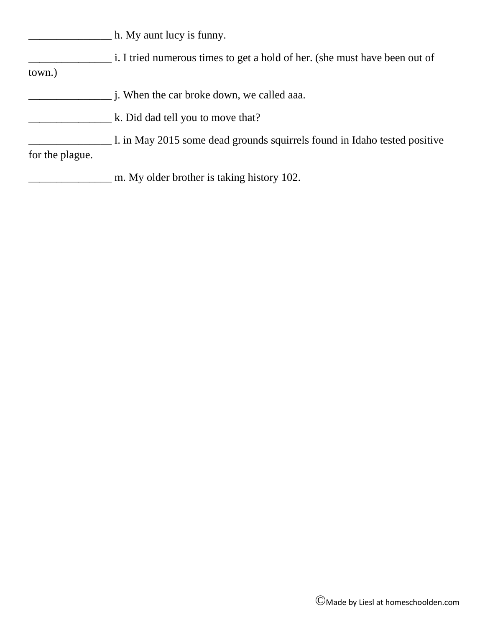\_\_\_\_\_\_\_\_\_\_\_\_\_\_\_ h. My aunt lucy is funny.

| i. I tried numerous times to get a hold of her. (she must have been out of |  |  |
|----------------------------------------------------------------------------|--|--|
|                                                                            |  |  |

town.)

- \_\_\_\_\_\_\_\_\_\_\_\_\_\_\_ j. When the car broke down, we called aaa.
- **EXECUTE:** K. Did dad tell you to move that?
- 1. in May 2015 some dead grounds squirrels found in Idaho tested positive for the plague.
	- m. My older brother is taking history 102.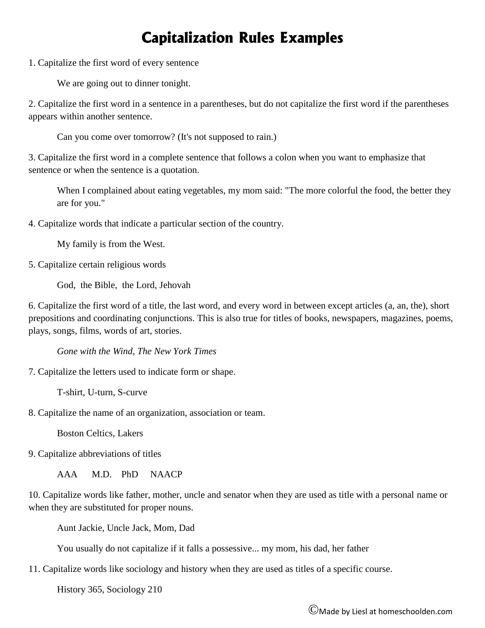#### **Capitalization Rules Examples**

1. Capitalize the first word of every sentence

We are going out to dinner tonight.

2. Capitalize the first word in a sentence in a parentheses, but do not capitalize the first word if the parentheses appears within another sentence.

Can you come over tomorrow? (It's not supposed to rain.)

3. Capitalize the first word in a complete sentence that follows a colon when you want to emphasize that sentence or when the sentence is a quotation.

When I complained about eating vegetables, my mom said: "The more colorful the food, the better they are for you."

4. Capitalize words that indicate a particular section of the country.

My family is from the West.

5. Capitalize certain religious words

God, the Bible, the Lord, Jehovah

6. Capitalize the first word of a title, the last word, and every word in between except articles (a, an, the), short prepositions and coordinating conjunctions. This is also true for titles of books, newspapers, magazines, poems, plays, songs, films, words of art, stories.

*Gone with the Wind*, *The New York Times*

7. Capitalize the letters used to indicate form or shape.

T-shirt, U-turn, S-curve

8. Capitalize the name of an organization, association or team.

Boston Celtics, Lakers

9. Capitalize abbreviations of titles

AAA M.D. PhD NAACP

10. Capitalize words like father, mother, uncle and senator when they are used as title with a personal name or when they are substituted for proper nouns.

Aunt Jackie, Uncle Jack, Mom, Dad

You usually do not capitalize if it falls a possessive... my mom, his dad, her father

11. Capitalize words like sociology and history when they are used as titles of a specific course.

History 365, Sociology 210